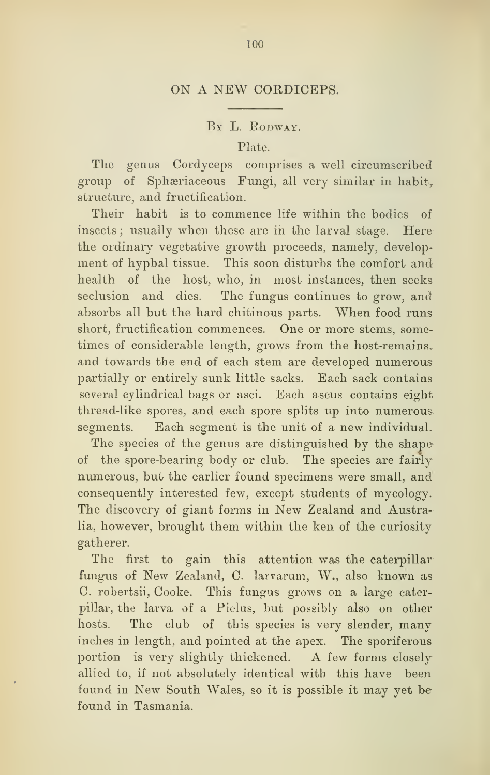## BY L. RODWAY.

## Plate.

The genus Cordyceps comprises a well circumscribed group of Sphæriaceous Fungi, all very similar in habit, structure, and fructification.

Their habit is to commence life within the bodies of insects ; usually when these are in the larval stage. Here the ordinary vegetative growth proceeds, namely, development of hypbal tissue. This soon disturbs the comfort and health of the host, who, in most instances, then seeks seclusion and dies. The fungus continues to grow, and absorbs all but the hard chitinous parts. When food runs short, fructification commences. One or more stems, sometimes of considerable length, grows from the host-remains, and towards the end of each stem are developed numerous partially or entirely sunk little sacks. Each sack contains several cylindrical bags or asci. Each ascus contains eight thread-like spores, and each spore splits up into numerous, segments. Each segment is the unit of a new individual.

The species of the genus are distinguished by the shapeof the spore-bearing body or club. The species are fairly numerous, but the earlier found specimens were small, and consequently interested few, except students of mycology. The discovery of giant forms in New Zealand and Australia, however, brought them within the ken of the curiosity gatherer.

The first to gain this attention was the caterpillar fungus of New Zealand, C. larvarum, W., also known as C. robertsii, Cooke. This fungus grows on a large caterpillar, the larva of a Pielus, but possibly also on other hosts. The club of this species is very slender, many inches in length, and pointed at the apex. The sporiferous portion is very slightly thickened. A few forms closely allied to, if not absolutely identical with this have been found in New South Wales, so it is possible it may yet be found in Tasmania.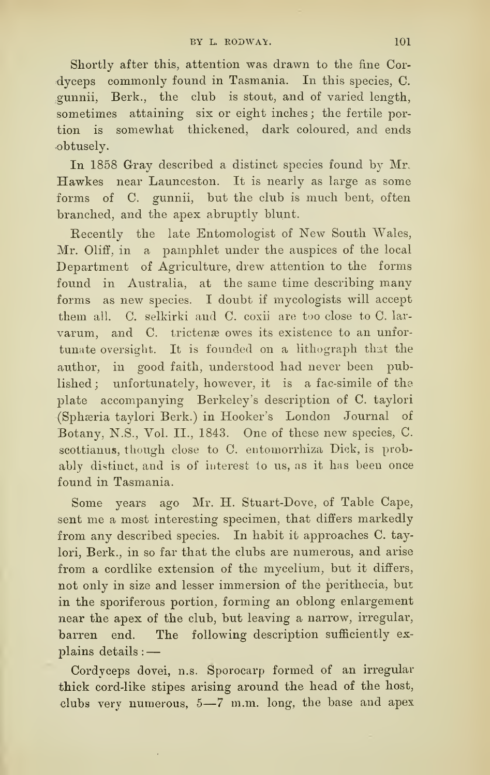Shortly after this, attention was drawn to the fine Cordyceps commonly found in Tasmania, In this species, C. gunnii. Berk., the club is stout, and of varied length, sometimes attaining six or eight inches; the fertile portion is somewhat thickened, dark coloured, and ends obtusely.

In 1858 Gray described a distinct species found by Mr. Hawkes near Launceston. It is nearly as large as some forms of C. gunnii, but the club is much bent, often branched, and the apex abruptly blunt.

Recently the late Entomologist of New South Wales, Mr. Oliff, in a pamphlet under the auspices of the local Department of Agriculture, drew attention to the forms found in Australia, at the same time describing many forms as new species. I doubt if mycologists will accept them all. C. selkirki and C. coxii are too close to C. larvarum, and C. trictenæ owes its existence to an unfortunate oversight. It is founded on a lithograph that the author, in good faith, understood had never been published ; unfortunately, however, it is a <sup>f</sup>ac-simile of the plate accompanying Berkeley's description of C. taylori (Sphæria taylori Berk.) in Hooker's London Journal of Botany, N.S., Vol. II., 1843. One of these new species, C. scottianus, though close to C. entomorrhiza Dick, is probably distinct, and is of interest lo us, as it has been once found in Tasmania.

Some years ago Mr. H. Stuart-Dove, of Table Cape, sent me a most interesting specimen, that differs markedly from any described species. In habit it approaches C. taylori. Berk., in so far that the clubs are numerous, and arise from a cordlike extension of the mycelium, but it differs, not only in size and lesser immersion of the perithecia, but in the sporiferous portion, forming an oblong enlargement near the apex of the club, but leaving a narrow, irregular, barren end. The following description sufficiently ex plains details : —

Cordyceps dovei, n.s. Sporocarp formed of an irregular thick cord-like stipes arising around the head of the host, clubs very numerous,  $5-7$  m.m. long, the base and apex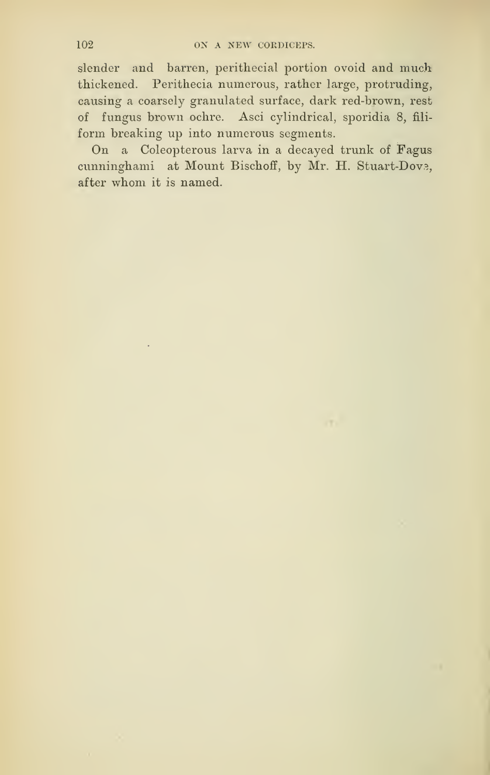slender and barren, perithecial portion ovoid and much thickened. Perithecia numerous, rather large, protruding, causing a coarsely granulated surface, dark red-brown, rest of fungus brown ochre. Asci cylindrical, sporidia 8, filiform breaking up into numerous segments.

On a Coleopterous larva in a decayed trunk of Fagus cunninghami at Mount Bischoff, by Mr. H. Stuart-Dove, after whom it is named.